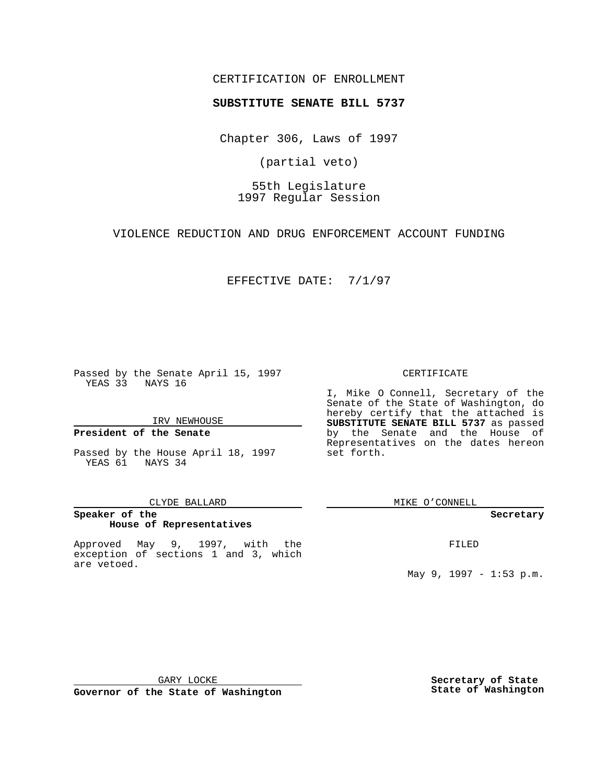## CERTIFICATION OF ENROLLMENT

# **SUBSTITUTE SENATE BILL 5737**

Chapter 306, Laws of 1997

(partial veto)

55th Legislature 1997 Regular Session

VIOLENCE REDUCTION AND DRUG ENFORCEMENT ACCOUNT FUNDING

### EFFECTIVE DATE: 7/1/97

Passed by the Senate April 15, 1997 YEAS 33 NAYS 16

IRV NEWHOUSE

## **President of the Senate**

Passed by the House April 18, 1997 YEAS 61 NAYS 34

#### CLYDE BALLARD

## **Speaker of the House of Representatives**

Approved May 9, 1997, with the exception of sections 1 and 3, which are vetoed.

### CERTIFICATE

I, Mike O Connell, Secretary of the Senate of the State of Washington, do hereby certify that the attached is **SUBSTITUTE SENATE BILL 5737** as passed by the Senate and the House of Representatives on the dates hereon set forth.

MIKE O'CONNELL

#### **Secretary**

FILED

May 9, 1997 - 1:53 p.m.

GARY LOCKE

**Governor of the State of Washington**

**Secretary of State State of Washington**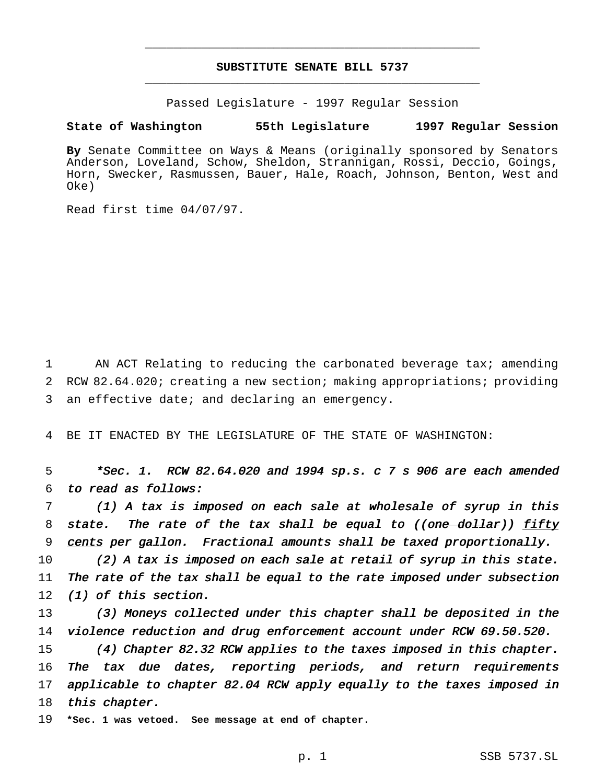# **SUBSTITUTE SENATE BILL 5737** \_\_\_\_\_\_\_\_\_\_\_\_\_\_\_\_\_\_\_\_\_\_\_\_\_\_\_\_\_\_\_\_\_\_\_\_\_\_\_\_\_\_\_\_\_\_\_

\_\_\_\_\_\_\_\_\_\_\_\_\_\_\_\_\_\_\_\_\_\_\_\_\_\_\_\_\_\_\_\_\_\_\_\_\_\_\_\_\_\_\_\_\_\_\_

Passed Legislature - 1997 Regular Session

### **State of Washington 55th Legislature 1997 Regular Session**

**By** Senate Committee on Ways & Means (originally sponsored by Senators Anderson, Loveland, Schow, Sheldon, Strannigan, Rossi, Deccio, Goings, Horn, Swecker, Rasmussen, Bauer, Hale, Roach, Johnson, Benton, West and Oke)

Read first time 04/07/97.

1 AN ACT Relating to reducing the carbonated beverage tax; amending 2 RCW 82.64.020; creating a new section; making appropriations; providing 3 an effective date; and declaring an emergency.

4 BE IT ENACTED BY THE LEGISLATURE OF THE STATE OF WASHINGTON:

5 \*Sec. 1. RCW 82.64.020 and <sup>1994</sup> sp.s. <sup>c</sup> <sup>7</sup> <sup>s</sup> <sup>906</sup> are each amended 6 to read as follows:

7 (1) <sup>A</sup> tax is imposed on each sale at wholesale of syrup in this 8 state. The rate of the tax shall be equal to  $((one-dollar))$  fifty 9 cents per gallon. Fractional amounts shall be taxed proportionally.

10 (2) A tax is imposed on each sale at retail of syrup in this state. 11 The rate of the tax shall be equal to the rate imposed under subsection 12 (1) of this section.

13 (3) Moneys collected under this chapter shall be deposited in the 14 violence reduction and drug enforcement account under RCW 69.50.520.

15 (4) Chapter 82.32 RCW applies to the taxes imposed in this chapter. 16 The tax due dates, reporting periods, and return requirements 17 applicable to chapter 82.04 RCW apply equally to the taxes imposed in 18 this chapter.

19 **\*Sec. 1 was vetoed. See message at end of chapter.**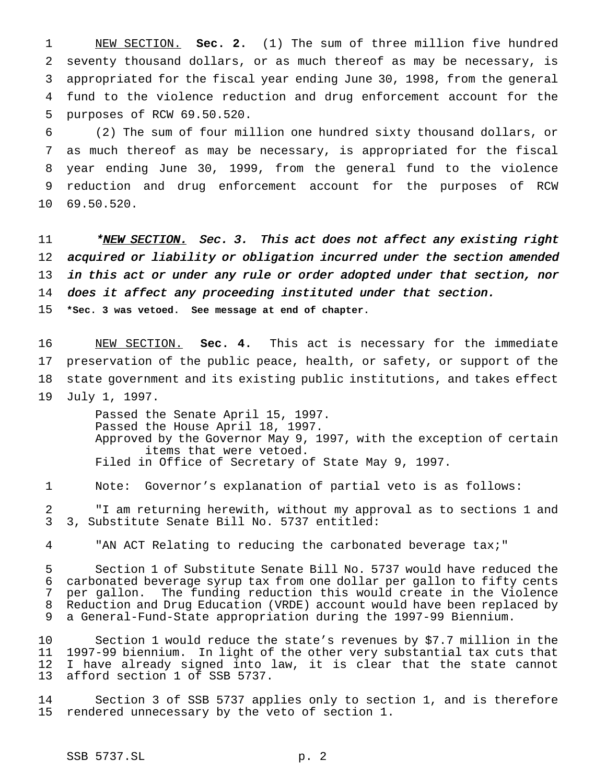NEW SECTION. **Sec. 2.** (1) The sum of three million five hundred seventy thousand dollars, or as much thereof as may be necessary, is appropriated for the fiscal year ending June 30, 1998, from the general fund to the violence reduction and drug enforcement account for the purposes of RCW 69.50.520.

 (2) The sum of four million one hundred sixty thousand dollars, or as much thereof as may be necessary, is appropriated for the fiscal year ending June 30, 1999, from the general fund to the violence reduction and drug enforcement account for the purposes of RCW 69.50.520.

11 \*NEW SECTION. Sec. 3. This act does not affect any existing right acquired or liability or obligation incurred under the section amended in this act or under any rule or order adopted under that section, nor does it affect any proceeding instituted under that section. **\*Sec. 3 was vetoed. See message at end of chapter.**

 NEW SECTION. **Sec. 4.** This act is necessary for the immediate preservation of the public peace, health, or safety, or support of the state government and its existing public institutions, and takes effect July 1, 1997.

> Passed the Senate April 15, 1997. Passed the House April 18, 1997. Approved by the Governor May 9, 1997, with the exception of certain items that were vetoed. Filed in Office of Secretary of State May 9, 1997.

Note: Governor's explanation of partial veto is as follows:

 "I am returning herewith, without my approval as to sections 1 and 3, Substitute Senate Bill No. 5737 entitled:

"AN ACT Relating to reducing the carbonated beverage tax;"

 Section 1 of Substitute Senate Bill No. 5737 would have reduced the carbonated beverage syrup tax from one dollar per gallon to fifty cents per gallon. The funding reduction this would create in the Violence Reduction and Drug Education (VRDE) account would have been replaced by a General-Fund-State appropriation during the 1997-99 Biennium.

 Section 1 would reduce the state's revenues by \$7.7 million in the 1997-99 biennium. In light of the other very substantial tax cuts that I have already signed into law, it is clear that the state cannot afford section 1 of SSB 5737.

 Section 3 of SSB 5737 applies only to section 1, and is therefore rendered unnecessary by the veto of section 1.